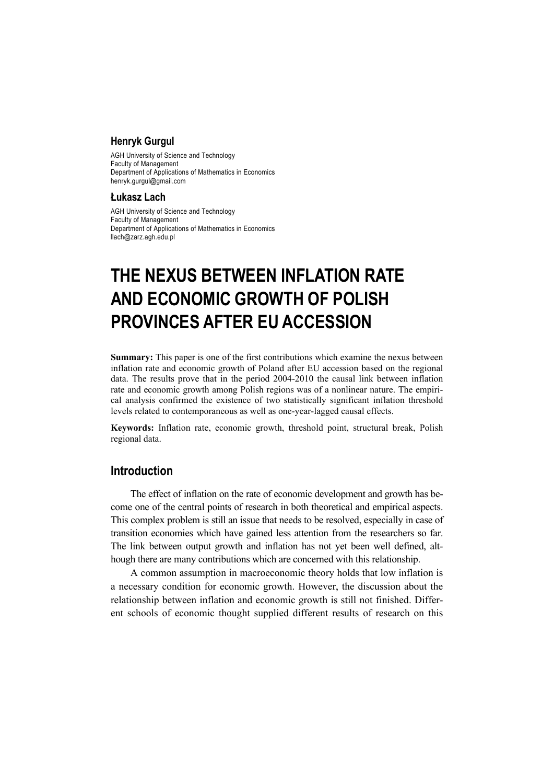#### **Henryk Gurgul**

AGH University of Science and Technology Faculty of Management Department of Applications of Mathematics in Economics henryk.gurgul@gmail.com

#### **Łukasz Lach**

AGH University of Science and Technology Faculty of Management Department of Applications of Mathematics in Economics llach@zarz.agh.edu.pl

# **THE NEXUS BETWEEN INFLATION RATE AND ECONOMIC GROWTH OF POLISH PROVINCES AFTER EU ACCESSION**

**Summary:** This paper is one of the first contributions which examine the nexus between inflation rate and economic growth of Poland after EU accession based on the regional data. The results prove that in the period 2004-2010 the causal link between inflation rate and economic growth among Polish regions was of a nonlinear nature. The empirical analysis confirmed the existence of two statistically significant inflation threshold levels related to contemporaneous as well as one-year-lagged causal effects.

**Keywords:** Inflation rate, economic growth, threshold point, structural break, Polish regional data.

#### **Introduction**

The effect of inflation on the rate of economic development and growth has become one of the central points of research in both theoretical and empirical aspects. This complex problem is still an issue that needs to be resolved, especially in case of transition economies which have gained less attention from the researchers so far. The link between output growth and inflation has not yet been well defined, although there are many contributions which are concerned with this relationship.

A common assumption in macroeconomic theory holds that low inflation is a necessary condition for economic growth. However, the discussion about the relationship between inflation and economic growth is still not finished. Different schools of economic thought supplied different results of research on this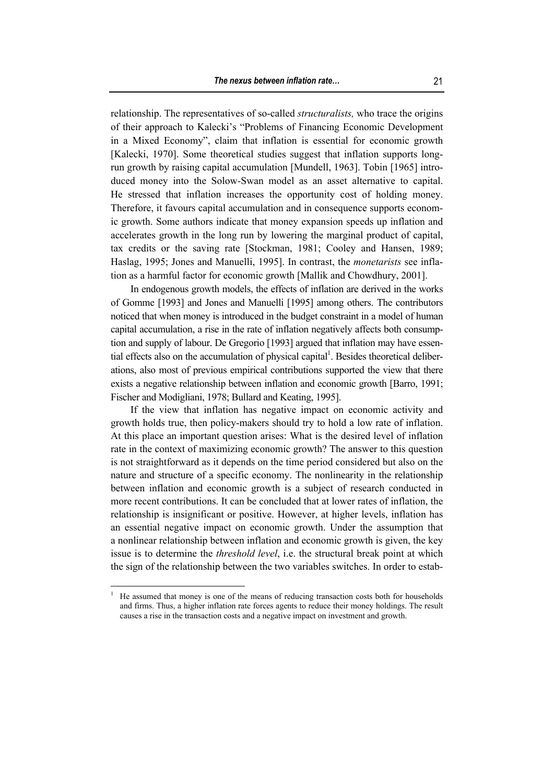relationship. The representatives of so-called *structuralists,* who trace the origins of their approach to Kalecki's "Problems of Financing Economic Development in a Mixed Economy", claim that inflation is essential for economic growth [Kalecki, 1970]. Some theoretical studies suggest that inflation supports longrun growth by raising capital accumulation [Mundell, 1963]. Tobin [1965] introduced money into the Solow-Swan model as an asset alternative to capital. He stressed that inflation increases the opportunity cost of holding money. Therefore, it favours capital accumulation and in consequence supports economic growth. Some authors indicate that money expansion speeds up inflation and accelerates growth in the long run by lowering the marginal product of capital, tax credits or the saving rate [Stockman, 1981; Cooley and Hansen, 1989; Haslag, 1995; Jones and Manuelli, 1995]. In contrast, the *monetarists* see inflation as a harmful factor for economic growth [Mallik and Chowdhury, 2001].

In endogenous growth models, the effects of inflation are derived in the works of Gomme [1993] and Jones and Manuelli [1995] among others. The contributors noticed that when money is introduced in the budget constraint in a model of human capital accumulation, a rise in the rate of inflation negatively affects both consumption and supply of labour. De Gregorio [1993] argued that inflation may have essential effects also on the accumulation of physical capital<sup>1</sup>. Besides theoretical deliberations, also most of previous empirical contributions supported the view that there exists a negative relationship between inflation and economic growth [Barro, 1991; Fischer and Modigliani, 1978; Bullard and Keating, 1995].

If the view that inflation has negative impact on economic activity and growth holds true, then policy-makers should try to hold a low rate of inflation. At this place an important question arises: What is the desired level of inflation rate in the context of maximizing economic growth? The answer to this question is not straightforward as it depends on the time period considered but also on the nature and structure of a specific economy. The nonlinearity in the relationship between inflation and economic growth is a subject of research conducted in more recent contributions. It can be concluded that at lower rates of inflation, the relationship is insignificant or positive. However, at higher levels, inflation has an essential negative impact on economic growth. Under the assumption that a nonlinear relationship between inflation and economic growth is given, the key issue is to determine the *threshold level*, i.e. the structural break point at which the sign of the relationship between the two variables switches. In order to estab-

 $\overline{a}$ 

<sup>1</sup> He assumed that money is one of the means of reducing transaction costs both for households and firms. Thus, a higher inflation rate forces agents to reduce their money holdings. The result causes a rise in the transaction costs and a negative impact on investment and growth.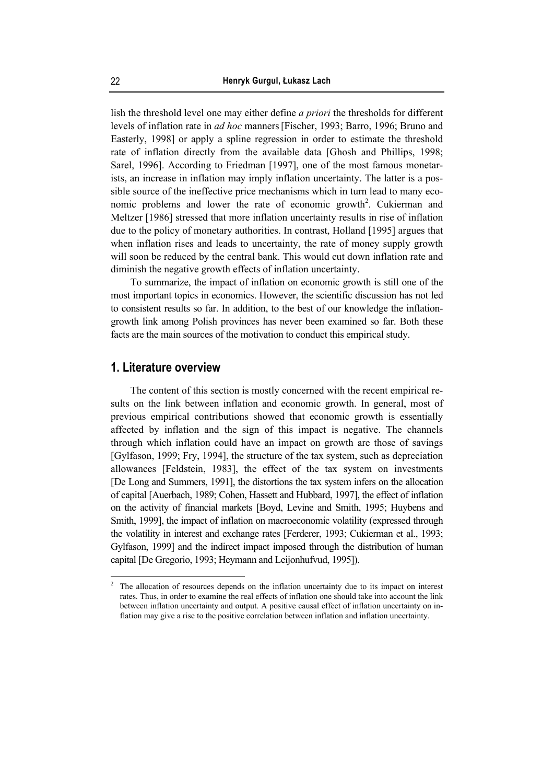lish the threshold level one may either define *a priori* the thresholds for different levels of inflation rate in *ad hoc* manners[Fischer, 1993; Barro, 1996; Bruno and Easterly, 1998] or apply a spline regression in order to estimate the threshold rate of inflation directly from the available data [Ghosh and Phillips, 1998; Sarel, 1996]. According to Friedman [1997], one of the most famous monetarists, an increase in inflation may imply inflation uncertainty. The latter is a possible source of the ineffective price mechanisms which in turn lead to many economic problems and lower the rate of economic growth<sup>2</sup>. Cukierman and Meltzer [1986] stressed that more inflation uncertainty results in rise of inflation due to the policy of monetary authorities. In contrast, Holland [1995] argues that when inflation rises and leads to uncertainty, the rate of money supply growth will soon be reduced by the central bank. This would cut down inflation rate and diminish the negative growth effects of inflation uncertainty.

To summarize, the impact of inflation on economic growth is still one of the most important topics in economics. However, the scientific discussion has not led to consistent results so far. In addition, to the best of our knowledge the inflationgrowth link among Polish provinces has never been examined so far. Both these facts are the main sources of the motivation to conduct this empirical study.

## **1. Literature overview**

 $\overline{a}$ 

The content of this section is mostly concerned with the recent empirical results on the link between inflation and economic growth. In general, most of previous empirical contributions showed that economic growth is essentially affected by inflation and the sign of this impact is negative. The channels through which inflation could have an impact on growth are those of savings [Gylfason, 1999; Fry, 1994], the structure of the tax system, such as depreciation allowances [Feldstein, 1983], the effect of the tax system on investments [De Long and Summers, 1991], the distortions the tax system infers on the allocation of capital [Auerbach, 1989; Cohen, Hassett and Hubbard, 1997], the effect of inflation on the activity of financial markets [Boyd, Levine and Smith, 1995; Huybens and Smith, 1999], the impact of inflation on macroeconomic volatility (expressed through the volatility in interest and exchange rates [Ferderer, 1993; Cukierman et al., 1993; Gylfason, 1999] and the indirect impact imposed through the distribution of human capital [De Gregorio, 1993; Heymann and Leijonhufvud, 1995]).

<sup>2</sup> The allocation of resources depends on the inflation uncertainty due to its impact on interest rates. Thus, in order to examine the real effects of inflation one should take into account the link between inflation uncertainty and output. A positive causal effect of inflation uncertainty on inflation may give a rise to the positive correlation between inflation and inflation uncertainty.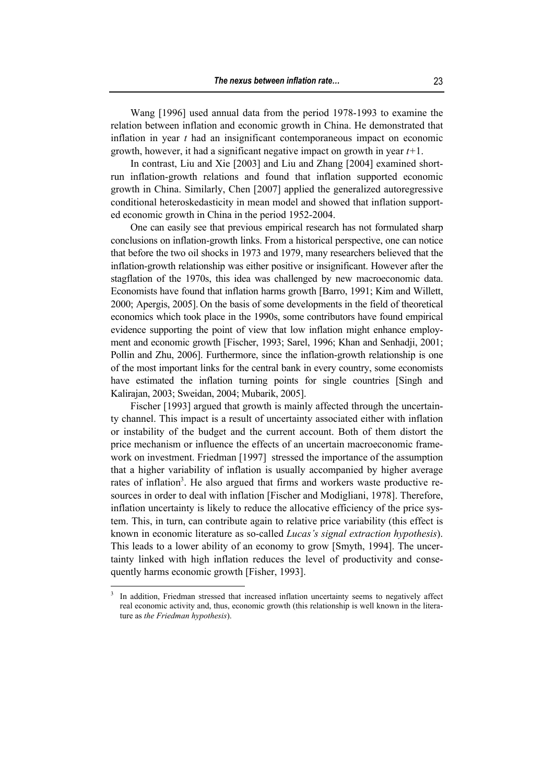Wang [1996] used annual data from the period 1978-1993 to examine the relation between inflation and economic growth in China. He demonstrated that inflation in year *t* had an insignificant contemporaneous impact on economic growth, however, it had a significant negative impact on growth in year *t+*1.

In contrast, Liu and Xie [2003] and Liu and Zhang [2004] examined shortrun inflation-growth relations and found that inflation supported economic growth in China. Similarly, Chen [2007] applied the generalized autoregressive conditional heteroskedasticity in mean model and showed that inflation supported economic growth in China in the period 1952-2004.

One can easily see that previous empirical research has not formulated sharp conclusions on inflation-growth links. From a historical perspective, one can notice that before the two oil shocks in 1973 and 1979, many researchers believed that the inflation-growth relationship was either positive or insignificant. However after the stagflation of the 1970s, this idea was challenged by new macroeconomic data. Economists have found that inflation harms growth [Barro, 1991; Kim and Willett, 2000; Apergis, 2005]. On the basis of some developments in the field of theoretical economics which took place in the 1990s, some contributors have found empirical evidence supporting the point of view that low inflation might enhance employment and economic growth [Fischer, 1993; Sarel, 1996; Khan and Senhadji, 2001; Pollin and Zhu, 2006]. Furthermore, since the inflation-growth relationship is one of the most important links for the central bank in every country, some economists have estimated the inflation turning points for single countries [Singh and Kalirajan, 2003; Sweidan, 2004; Mubarik, 2005].

Fischer [1993] argued that growth is mainly affected through the uncertainty channel. This impact is a result of uncertainty associated either with inflation or instability of the budget and the current account. Both of them distort the price mechanism or influence the effects of an uncertain macroeconomic framework on investment. Friedman [1997] stressed the importance of the assumption that a higher variability of inflation is usually accompanied by higher average rates of inflation<sup>3</sup>. He also argued that firms and workers waste productive resources in order to deal with inflation [Fischer and Modigliani, 1978]. Therefore, inflation uncertainty is likely to reduce the allocative efficiency of the price system. This, in turn, can contribute again to relative price variability (this effect is known in economic literature as so-called *Lucas's signal extraction hypothesis*). This leads to a lower ability of an economy to grow [Smyth, 1994]. The uncertainty linked with high inflation reduces the level of productivity and consequently harms economic growth [Fisher, 1993].

 $\overline{a}$ 

<sup>3</sup> In addition, Friedman stressed that increased inflation uncertainty seems to negatively affect real economic activity and, thus, economic growth (this relationship is well known in the literature as *the Friedman hypothesis*).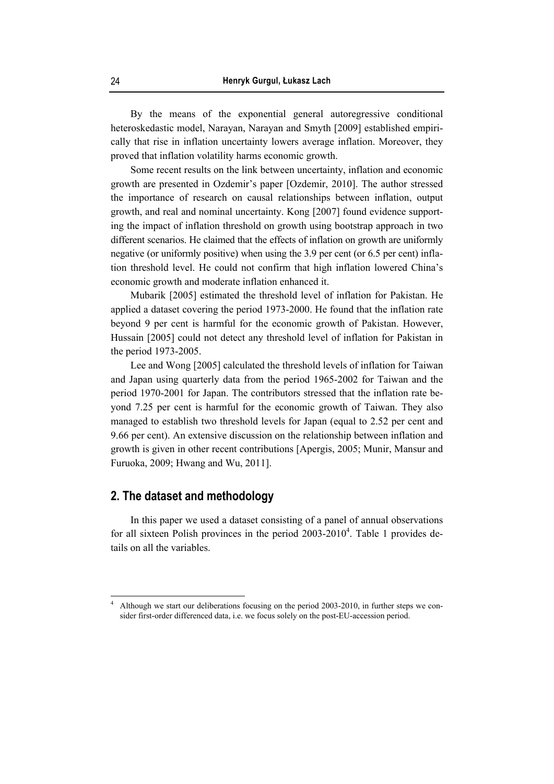By the means of the exponential general autoregressive conditional heteroskedastic model, Narayan, Narayan and Smyth [2009] established empirically that rise in inflation uncertainty lowers average inflation. Moreover, they proved that inflation volatility harms economic growth.

Some recent results on the link between uncertainty, inflation and economic growth are presented in Ozdemir's paper [Ozdemir, 2010]. The author stressed the importance of research on causal relationships between inflation, output growth, and real and nominal uncertainty. Kong [2007] found evidence supporting the impact of inflation threshold on growth using bootstrap approach in two different scenarios. He claimed that the effects of inflation on growth are uniformly negative (or uniformly positive) when using the 3.9 per cent (or 6.5 per cent) inflation threshold level. He could not confirm that high inflation lowered China's economic growth and moderate inflation enhanced it.

Mubarik [2005] estimated the threshold level of inflation for Pakistan. He applied a dataset covering the period 1973-2000. He found that the inflation rate beyond 9 per cent is harmful for the economic growth of Pakistan. However, Hussain [2005] could not detect any threshold level of inflation for Pakistan in the period 1973-2005.

Lee and Wong [2005] calculated the threshold levels of inflation for Taiwan and Japan using quarterly data from the period 1965-2002 for Taiwan and the period 1970-2001 for Japan. The contributors stressed that the inflation rate beyond 7.25 per cent is harmful for the economic growth of Taiwan. They also managed to establish two threshold levels for Japan (equal to 2.52 per cent and 9.66 per cent). An extensive discussion on the relationship between inflation and growth is given in other recent contributions [Apergis, 2005; Munir, Mansur and Furuoka, 2009; Hwang and Wu, 2011].

#### **2. The dataset and methodology**

 $\overline{a}$ 

In this paper we used a dataset consisting of a panel of annual observations for all sixteen Polish provinces in the period  $2003-2010^4$ . Table 1 provides details on all the variables.

<sup>4</sup> Although we start our deliberations focusing on the period 2003-2010, in further steps we consider first-order differenced data, i.e. we focus solely on the post-EU-accession period.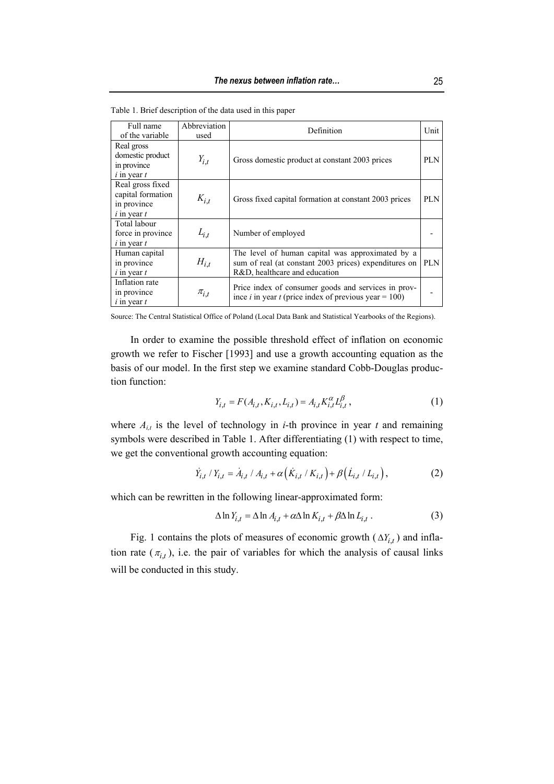| Full name<br>of the variable                                            | Abbreviation<br>used | Definition                                                                                                                                 |            |  |
|-------------------------------------------------------------------------|----------------------|--------------------------------------------------------------------------------------------------------------------------------------------|------------|--|
| Real gross<br>domestic product<br>in province<br>$i$ in year $t$        | $Y_{i,t}$            | Gross domestic product at constant 2003 prices                                                                                             | <b>PLN</b> |  |
| Real gross fixed<br>capital formation<br>in province<br>$i$ in year $t$ | $K_{i,t}$            | Gross fixed capital formation at constant 2003 prices                                                                                      |            |  |
| Total labour<br>force in province<br>$i$ in year $t$                    | $L_{i,t}$            | Number of employed                                                                                                                         |            |  |
| Human capital<br>in province<br>$i$ in year $t$                         | $H_{i,t}$            | The level of human capital was approximated by a<br>sum of real (at constant 2003 prices) expenditures on<br>R&D, healthcare and education | <b>PLN</b> |  |
| Inflation rate<br>in province<br>$i$ in year $t$                        | $\pi_{i,t}$          | Price index of consumer goods and services in prov-<br>ince <i>i</i> in year <i>t</i> (price index of previous year = 100)                 |            |  |

Table 1. Brief description of the data used in this paper

Source: The Central Statistical Office of Poland (Local Data Bank and Statistical Yearbooks of the Regions).

In order to examine the possible threshold effect of inflation on economic growth we refer to Fischer [1993] and use a growth accounting equation as the basis of our model. In the first step we examine standard Cobb-Douglas production function:

$$
Y_{i,t} = F(A_{i,t}, K_{i,t}, L_{i,t}) = A_{i,t} K_{i,t}^{\alpha} L_{i,t}^{\beta},
$$
\n(1)

where  $A_{i,t}$  is the level of technology in *i*-th province in year *t* and remaining symbols were described in Table 1. After differentiating (1) with respect to time, we get the conventional growth accounting equation:

$$
\dot{Y}_{i,t} / Y_{i,t} = \dot{A}_{i,t} / A_{i,t} + \alpha (\dot{K}_{i,t} / K_{i,t}) + \beta (\dot{L}_{i,t} / L_{i,t}),
$$
\n(2)

which can be rewritten in the following linear-approximated form:

$$
\Delta \ln Y_{i,t} = \Delta \ln A_{i,t} + \alpha \Delta \ln K_{i,t} + \beta \Delta \ln L_{i,t} \,. \tag{3}
$$

Fig. 1 contains the plots of measures of economic growth  $(\Delta Y_{i,t})$  and inflation rate  $(\pi_{it})$ , i.e. the pair of variables for which the analysis of causal links will be conducted in this study.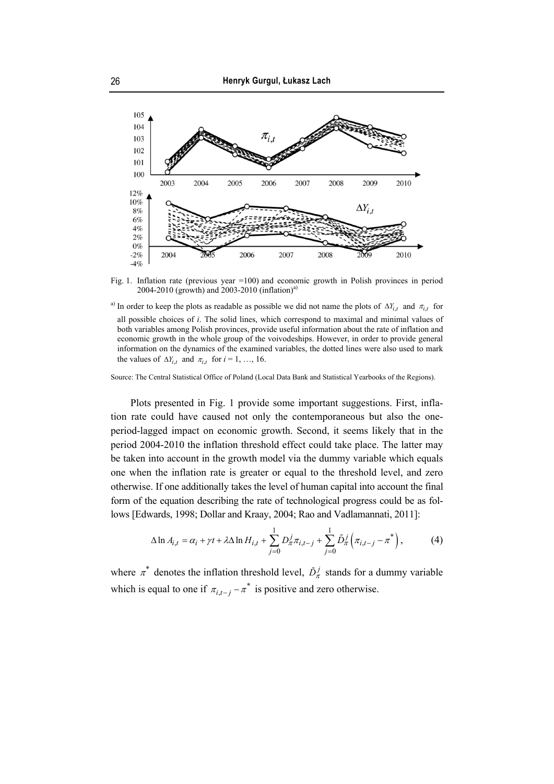

Fig. 1. Inflation rate (previous year =100) and economic growth in Polish provinces in period 2004-2010 (growth) and 2003-2010 (inflation)<sup>a)</sup>

<sup>a)</sup> In order to keep the plots as readable as possible we did not name the plots of  $\Delta Y_{i,t}$  and  $\pi_{i,t}$  for all possible choices of *i*. The solid lines, which correspond to maximal and minimal values of both variables among Polish provinces, provide useful information about the rate of inflation and economic growth in the whole group of the voivodeships. However, in order to provide general information on the dynamics of the examined variables, the dotted lines were also used to mark the values of  $\Delta Y_{i,t}$  and  $\pi_{i,t}$  for  $i = 1, ..., 16$ .

Source: The Central Statistical Office of Poland (Local Data Bank and Statistical Yearbooks of the Regions).

Plots presented in Fig. 1 provide some important suggestions. First, inflation rate could have caused not only the contemporaneous but also the oneperiod-lagged impact on economic growth. Second, it seems likely that in the period 2004-2010 the inflation threshold effect could take place. The latter may be taken into account in the growth model via the dummy variable which equals one when the inflation rate is greater or equal to the threshold level, and zero otherwise. If one additionally takes the level of human capital into account the final form of the equation describing the rate of technological progress could be as follows [Edwards, 1998; Dollar and Kraay, 2004; Rao and Vadlamannati, 2011]:

$$
\Delta \ln A_{i,t} = \alpha_i + \gamma t + \lambda \Delta \ln H_{i,t} + \sum_{j=0}^{1} D_{\pi}^j \pi_{i,t-j} + \sum_{j=0}^{1} \tilde{D}_{\pi}^j \left( \pi_{i,t-j} - \pi^* \right), \tag{4}
$$

where  $\pi^*$  denotes the inflation threshold level,  $\tilde{D}_{\pi}^j$  stands for a dummy variable which is equal to one if  $\pi_{i,t-i} - \pi^*$  is positive and zero otherwise.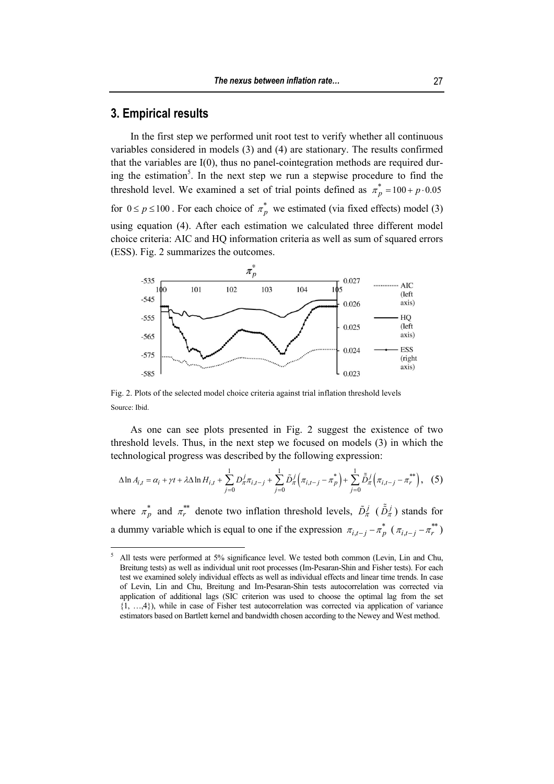## **3. Empirical results**

 $\overline{a}$ 

In the first step we performed unit root test to verify whether all continuous variables considered in models (3) and (4) are stationary. The results confirmed that the variables are I(0), thus no panel-cointegration methods are required during the estimation<sup>5</sup>. In the next step we run a stepwise procedure to find the threshold level. We examined a set of trial points defined as  $\pi_p^* = 100 + p \cdot 0.05$ for  $0 \le p \le 100$ . For each choice of  $\pi_p^*$  we estimated (via fixed effects) model (3) using equation (4). After each estimation we calculated three different model choice criteria: AIC and HQ information criteria as well as sum of squared errors (ESS). Fig. 2 summarizes the outcomes.



Fig. 2. Plots of the selected model choice criteria against trial inflation threshold levels Source: Ibid.

As one can see plots presented in Fig. 2 suggest the existence of two threshold levels. Thus, in the next step we focused on models (3) in which the technological progress was described by the following expression:

$$
\Delta \ln A_{i,t} = \alpha_i + \gamma t + \lambda \Delta \ln H_{i,t} + \sum_{j=0}^{1} D_{\pi}^j \pi_{i,t-j} + \sum_{j=0}^{1} \tilde{D}_{\pi}^j \left( \pi_{i,t-j} - \pi_p^* \right) + \sum_{j=0}^{1} \tilde{D}_{\pi}^j \left( \pi_{i,t-j} - \pi_r^{**} \right), \quad (5)
$$

where  $\pi_p^*$  and  $\pi_r^{**}$  denote two inflation threshold levels,  $\tilde{D}_{\pi}^j$  ( $\tilde{D}_{\pi}^j$ ) stands for a dummy variable which is equal to one if the expression  $\pi_{i,t-j} - \pi_p^*$  ( $\pi_{i,t-j} - \pi_r^{**}$ )

<sup>5</sup> All tests were performed at 5% significance level. We tested both common (Levin, Lin and Chu, Breitung tests) as well as individual unit root processes (Im-Pesaran-Shin and Fisher tests). For each test we examined solely individual effects as well as individual effects and linear time trends. In case of Levin, Lin and Chu, Breitung and Im-Pesaran-Shin tests autocorrelation was corrected via application of additional lags (SIC criterion was used to choose the optimal lag from the set {1, …,4}), while in case of Fisher test autocorrelation was corrected via application of variance estimators based on Bartlett kernel and bandwidth chosen according to the Newey and West method.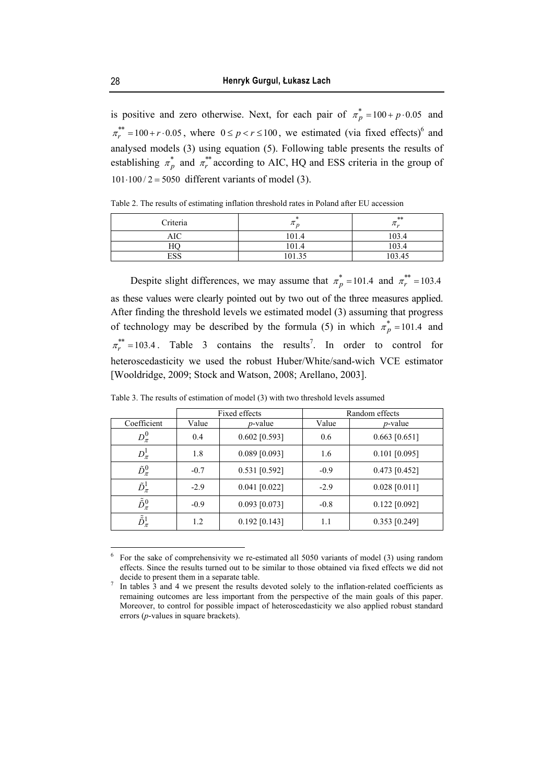is positive and zero otherwise. Next, for each pair of  $\pi_p^* = 100 + p \cdot 0.05$  and  $\pi_r^{**} = 100 + r \cdot 0.05$ , where  $0 \le p < r \le 100$ , we estimated (via fixed effects)<sup>6</sup> and analysed models (3) using equation (5). Following table presents the results of establishing  $\pi_p^*$  and  $\pi_r^{**}$  according to AIC, HQ and ESS criteria in the group of  $101 \cdot 100 / 2 = 5050$  different variants of model (3).

Table 2. The results of estimating inflation threshold rates in Poland after EU accession

| Criteria   | $\mu$  | $**$<br>$\pi_{\nu}$ |
|------------|--------|---------------------|
| <b>AIC</b> | 101.4  | 103.4               |
| HО         | 101.4  | 103.4               |
| ESS        | 101.35 | 103 45              |

Despite slight differences, we may assume that  $\pi_p^* = 101.4$  and  $\pi_r^{**} = 103.4$ as these values were clearly pointed out by two out of the three measures applied. After finding the threshold levels we estimated model (3) assuming that progress of technology may be described by the formula (5) in which  $\pi_p^* = 101.4$  and  $\pi_r^{**} = 103.4$ . Table 3 contains the results<sup>7</sup>. In order to control for heteroscedasticity we used the robust Huber/White/sand-wich VCE estimator [Wooldridge, 2009; Stock and Watson, 2008; Arellano, 2003].

|                             |        | Fixed effects   | Random effects |                 |  |
|-----------------------------|--------|-----------------|----------------|-----------------|--|
| Coefficient                 | Value  | $p$ -value      | Value          | <i>p</i> -value |  |
| $D^0_{\pi}$                 | 0.4    | $0.602$ [0.593] | 0.6            | $0.663$ [0.651] |  |
| $D^1_\pi$                   | 1.8    | $0.089$ [0.093] | 1.6            | $0.101$ [0.095] |  |
| $\tilde{D}_\pi^0$           | $-0.7$ | $0.531$ [0.592] | $-0.9$         | $0.473$ [0.452] |  |
| $\tilde{D}_\pi^1$           | $-2.9$ | $0.041$ [0.022] | $-2.9$         | $0.028$ [0.011] |  |
| $\tilde{\tilde{D}}_{\pi}^0$ | $-0.9$ | $0.093$ [0.073] | $-0.8$         | $0.122$ [0.092] |  |
| $D_{\pi}^{1}$               | 1.2    | $0.192$ [0.143] | 1.1            | $0.353$ [0.249] |  |

Table 3. The results of estimation of model (3) with two threshold levels assumed

 $\overline{a}$ 

 $6$  For the sake of comprehensivity we re-estimated all 5050 variants of model (3) using random effects. Since the results turned out to be similar to those obtained via fixed effects we did not decide to present them in a separate table.

In tables 3 and 4 we present the results devoted solely to the inflation-related coefficients as remaining outcomes are less important from the perspective of the main goals of this paper. Moreover, to control for possible impact of heteroscedasticity we also applied robust standard errors (*p*-values in square brackets).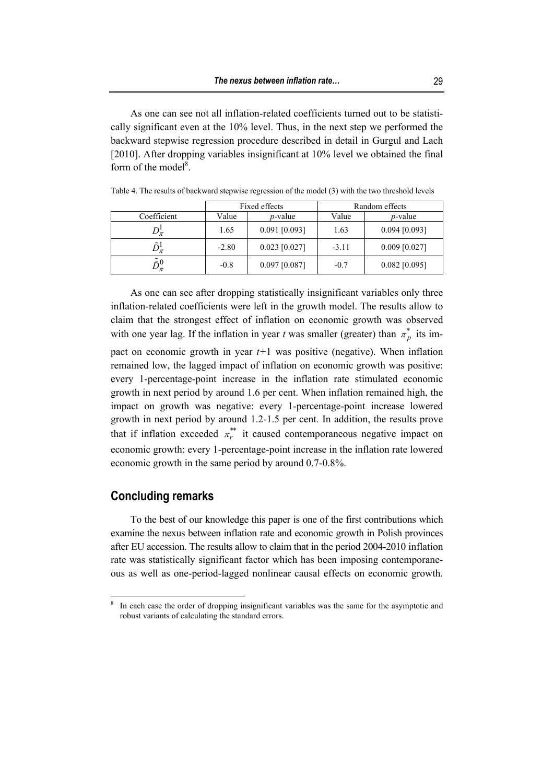As one can see not all inflation-related coefficients turned out to be statistically significant even at the 10% level. Thus, in the next step we performed the backward stepwise regression procedure described in detail in Gurgul and Lach [2010]. After dropping variables insignificant at 10% level we obtained the final form of the model $8$ .

|                           | Fixed effects |                 | Random effects |                 |
|---------------------------|---------------|-----------------|----------------|-----------------|
| Coefficient               | Value         | <i>p</i> -value | Value          | <i>p</i> -value |
|                           | 1.65          | $0.091$ [0.093] | 1.63           | $0.094$ [0.093] |
|                           | $-2.80$       | $0.023$ [0.027] | $-3.11$        | $0.009$ [0.027] |
| $\tilde{\tilde{\kappa}}0$ | $-0.8$        | $0.097$ [0.087] | $-0.7$         | $0.082$ [0.095] |

Table 4. The results of backward stepwise regression of the model (3) with the two threshold levels

As one can see after dropping statistically insignificant variables only three inflation-related coefficients were left in the growth model. The results allow to claim that the strongest effect of inflation on economic growth was observed with one year lag. If the inflation in year *t* was smaller (greater) than  $\pi_p^*$  its impact on economic growth in year  $t+1$  was positive (negative). When inflation

remained low, the lagged impact of inflation on economic growth was positive: every 1-percentage-point increase in the inflation rate stimulated economic growth in next period by around 1.6 per cent. When inflation remained high, the impact on growth was negative: every 1-percentage-point increase lowered growth in next period by around 1.2-1.5 per cent. In addition, the results prove that if inflation exceeded  $\pi_r^*$  it caused contemporaneous negative impact on economic growth: every 1-percentage-point increase in the inflation rate lowered economic growth in the same period by around 0.7-0.8%.

## **Concluding remarks**

 $\overline{a}$ 

To the best of our knowledge this paper is one of the first contributions which examine the nexus between inflation rate and economic growth in Polish provinces after EU accession. The results allow to claim that in the period 2004-2010 inflation rate was statistically significant factor which has been imposing contemporaneous as well as one-period-lagged nonlinear causal effects on economic growth.

<sup>8</sup> In each case the order of dropping insignificant variables was the same for the asymptotic and robust variants of calculating the standard errors.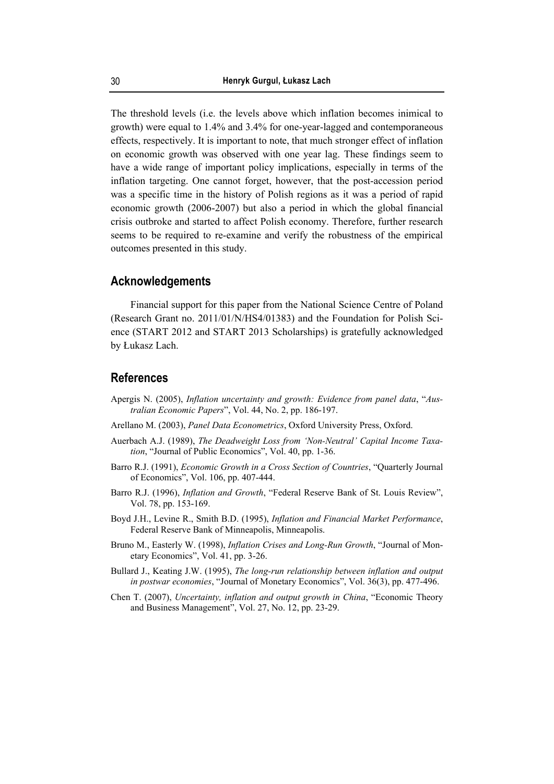The threshold levels (i.e. the levels above which inflation becomes inimical to growth) were equal to 1.4% and 3.4% for one-year-lagged and contemporaneous effects, respectively. It is important to note, that much stronger effect of inflation on economic growth was observed with one year lag. These findings seem to have a wide range of important policy implications, especially in terms of the inflation targeting. One cannot forget, however, that the post-accession period was a specific time in the history of Polish regions as it was a period of rapid economic growth (2006-2007) but also a period in which the global financial crisis outbroke and started to affect Polish economy. Therefore, further research seems to be required to re-examine and verify the robustness of the empirical outcomes presented in this study.

# **Acknowledgements**

Financial support for this paper from the National Science Centre of Poland (Research Grant no. 2011/01/N/HS4/01383) and the Foundation for Polish Science (START 2012 and START 2013 Scholarships) is gratefully acknowledged by Łukasz Lach.

#### **References**

- Apergis N. (2005), *Inflation uncertainty and growth: Evidence from panel data*, "*Australian Economic Papers*", Vol. 44, No. 2, pp. 186-197.
- Arellano M. (2003), *Panel Data Econometrics*, Oxford University Press, Oxford.
- Auerbach A.J. (1989), *The Deadweight Loss from 'Non-Neutral' Capital Income Taxation*, "Journal of Public Economics", Vol. 40, pp. 1-36.
- Barro R.J. (1991), *Economic Growth in a Cross Section of Countries*, "Quarterly Journal of Economics", Vol. 106, pp. 407-444.
- Barro R.J. (1996), *Inflation and Growth*, "Federal Reserve Bank of St. Louis Review", Vol. 78, pp. 153-169.
- Boyd J.H., Levine R., Smith B.D. (1995), *Inflation and Financial Market Performance*, Federal Reserve Bank of Minneapolis, Minneapolis.
- Bruno M., Easterly W. (1998), *Inflation Crises and Long-Run Growth*, "Journal of Monetary Economics", Vol. 41, pp. 3-26.
- Bullard J., Keating J.W. (1995), *The long-run relationship between inflation and output in postwar economies*, "Journal of Monetary Economics", Vol. 36(3), pp. 477-496.
- Chen T. (2007), *Uncertainty, inflation and output growth in China*, "Economic Theory and Business Management", Vol. 27, No. 12, pp. 23-29.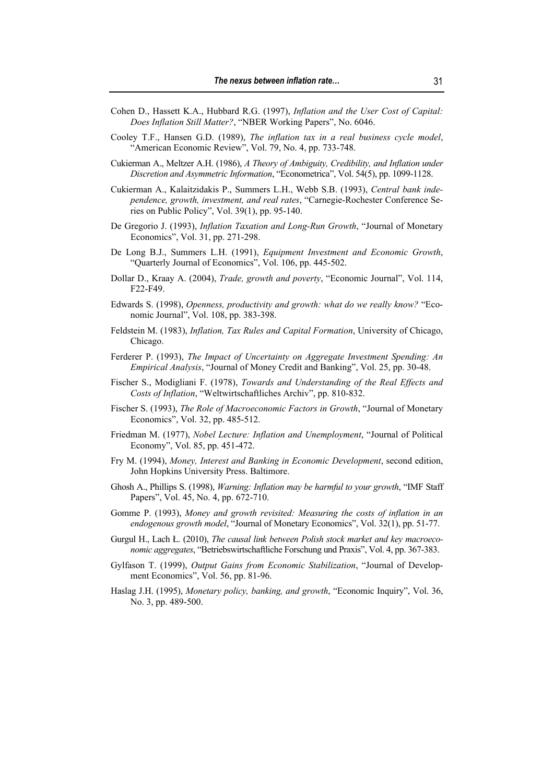- Cohen D., Hassett K.A., Hubbard R.G. (1997), *Inflation and the User Cost of Capital: Does Inflation Still Matter?*, "NBER Working Papers", No. 6046.
- Cooley T.F., Hansen G.D. (1989), *The inflation tax in a real business cycle model*, "American Economic Review", Vol. 79, No. 4, pp. 733-748.
- Cukierman A., Meltzer A.H. (1986), *A Theory of Ambiguity, Credibility, and Inflation under Discretion and Asymmetric Information*, "Econometrica", Vol. 54(5), pp. 1099-1128.
- Cukierman A., Kalaitzidakis P., Summers L.H., Webb S.B. (1993), *Central bank independence, growth, investment, and real rates*, "Carnegie-Rochester Conference Series on Public Policy", Vol. 39(1), pp. 95-140.
- De Gregorio J. (1993), *Inflation Taxation and Long-Run Growth*, "Journal of Monetary Economics", Vol. 31, pp. 271-298.
- De Long B.J., Summers L.H. (1991), *Equipment Investment and Economic Growth*, "Quarterly Journal of Economics", Vol. 106, pp. 445-502.
- Dollar D., Kraay A. (2004), *Trade, growth and poverty*, "Economic Journal", Vol. 114, F22-F49.
- Edwards S. (1998), *Openness, productivity and growth: what do we really know?* "Economic Journal", Vol. 108, pp. 383-398.
- Feldstein M. (1983), *Inflation, Tax Rules and Capital Formation*, University of Chicago, Chicago.
- Ferderer P. (1993), *The Impact of Uncertainty on Aggregate Investment Spending: An Empirical Analysis*, "Journal of Money Credit and Banking", Vol. 25, pp. 30-48.
- Fischer S., Modigliani F. (1978), *Towards and Understanding of the Real Effects and Costs of Inflation*, "Weltwirtschaftliches Archiv", pp. 810-832.
- Fischer S. (1993), *The Role of Macroeconomic Factors in Growth*, "Journal of Monetary Economics", Vol. 32, pp. 485-512.
- Friedman M. (1977), *Nobel Lecture: Inflation and Unemployment*, "Journal of Political Economy", Vol. 85, pp. 451-472.
- Fry M. (1994), *Money, Interest and Banking in Economic Development*, second edition, John Hopkins University Press. Baltimore.
- Ghosh A., Phillips S. (1998), *Warning: Inflation may be harmful to your growth*, "IMF Staff Papers", Vol. 45, No. 4, pp. 672-710.
- Gomme P. (1993), *Money and growth revisited: Measuring the costs of inflation in an endogenous growth model*, "Journal of Monetary Economics", Vol. 32(1), pp. 51-77.
- Gurgul H., Lach Ł. (2010), *The causal link between Polish stock market and key macroeconomic aggregates*, "Betriebswirtschaftliche Forschung und Praxis", Vol. 4, pp. 367-383.
- Gylfason T. (1999), *Output Gains from Economic Stabilization*, "Journal of Development Economics", Vol. 56, pp. 81-96.
- Haslag J.H. (1995), *Monetary policy, banking, and growth*, "Economic Inquiry", Vol. 36, No. 3, pp. 489-500.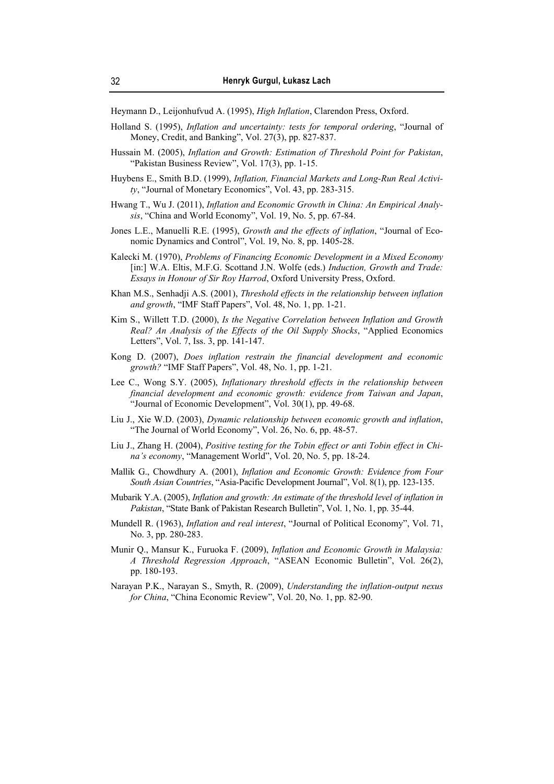Heymann D., Leijonhufvud A. (1995), *High Inflation*, Clarendon Press, Oxford.

- Holland S. (1995), *Inflation and uncertainty: tests for temporal ordering*, "Journal of Money, Credit, and Banking", Vol. 27(3), pp. 827-837.
- Hussain M. (2005), *Inflation and Growth: Estimation of Threshold Point for Pakistan*, "Pakistan Business Review", Vol. 17(3), pp. 1-15.
- Huybens E., Smith B.D. (1999), *Inflation, Financial Markets and Long-Run Real Activity*, "Journal of Monetary Economics", Vol. 43, pp. 283-315.
- Hwang T., Wu J. (2011), *Inflation and Economic Growth in China: An Empirical Analysis*, "China and World Economy", Vol. 19, No. 5, pp. 67-84.
- Jones L.E., Manuelli R.E. (1995), *Growth and the effects of inflation*, "Journal of Economic Dynamics and Control", Vol. 19, No. 8, pp. 1405-28.
- Kalecki M. (1970), *Problems of Financing Economic Development in a Mixed Economy* [in:] W.A. Eltis, M.F.G. Scottand J.N. Wolfe (eds.) *Induction, Growth and Trade: Essays in Honour of Sir Roy Harrod*, Oxford University Press, Oxford.
- Khan M.S., Senhadji A.S. (2001), *Threshold effects in the relationship between inflation and growth*, "IMF Staff Papers", Vol. 48, No. 1, pp. 1-21.
- Kim S., Willett T.D. (2000), *Is the Negative Correlation between Inflation and Growth Real? An Analysis of the Effects of the Oil Supply Shocks*, "Applied Economics Letters", Vol. 7, Iss. 3, pp. 141-147.
- Kong D. (2007), *Does inflation restrain the financial development and economic growth?* "IMF Staff Papers", Vol. 48, No. 1, pp. 1-21.
- Lee C., Wong S.Y. (2005), *Inflationary threshold effects in the relationship between financial development and economic growth: evidence from Taiwan and Japan*, "Journal of Economic Development", Vol. 30(1), pp. 49-68.
- Liu J., Xie W.D. (2003), *Dynamic relationship between economic growth and inflation*, "The Journal of World Economy", Vol. 26, No. 6, pp. 48-57.
- Liu J., Zhang H. (2004), *Positive testing for the Tobin effect or anti Tobin effect in China's economy*, "Management World", Vol. 20, No. 5, pp. 18-24.
- Mallik G., Chowdhury A. (2001), *Inflation and Economic Growth: Evidence from Four South Asian Countries*, "Asia-Pacific Development Journal", Vol. 8(1), pp. 123-135.
- Mubarik Y.A. (2005), *Inflation and growth: An estimate of the threshold level of inflation in Pakistan*, "State Bank of Pakistan Research Bulletin", Vol. 1, No. 1, pp. 35-44.
- Mundell R. (1963), *Inflation and real interest*, "Journal of Political Economy", Vol. 71, No. 3, pp. 280-283.
- Munir Q., Mansur K., Furuoka F. (2009), *Inflation and Economic Growth in Malaysia: A Threshold Regression Approach*, "ASEAN Economic Bulletin", Vol. 26(2), pp. 180-193.
- Narayan P.K., Narayan S., Smyth, R. (2009), *Understanding the inflation-output nexus for China*, "China Economic Review", Vol. 20, No. 1, pp. 82-90.